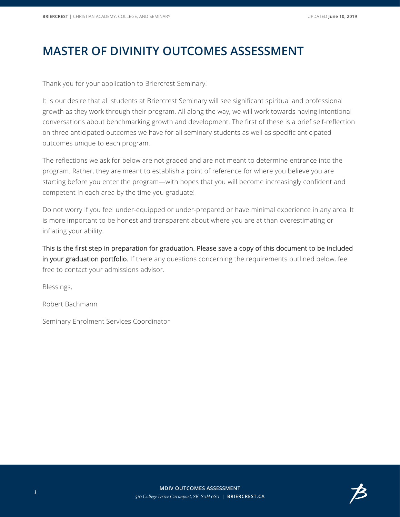## **MASTER OF DIVINITY OUTCOMES ASSESSMENT**

Thank you for your application to Briercrest Seminary!

It is our desire that all students at Briercrest Seminary will see significant spiritual and professional growth as they work through their program. All along the way, we will work towards having intentional conversations about benchmarking growth and development. The first of these is a brief self-reflection on three anticipated outcomes we have for all seminary students as well as specific anticipated outcomes unique to each program.

The reflections we ask for below are not graded and are not meant to determine entrance into the program. Rather, they are meant to establish a point of reference for where you believe you are starting before you enter the program—with hopes that you will become increasingly confident and competent in each area by the time you graduate!

Do not worry if you feel under-equipped or under-prepared or have minimal experience in any area. It is more important to be honest and transparent about where you are at than overestimating or inflating your ability.

This is the first step in preparation for graduation. Please save a copy of this document to be included in your graduation portfolio. If there any questions concerning the requirements outlined below, feel free to contact your admissions advisor.

Blessings,

Robert Bachmann

Seminary Enrolment Services Coordinator

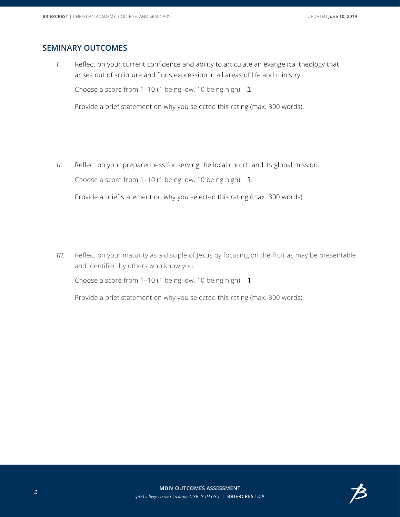## **SEMINARY OUTCOMES**

*I.* Reflect on your current confidence and ability to articulate an evangelical theology that arises out of scripture and finds expression in all areas of life and ministry.

Choose a score from  $1-10$  (1 being low, 10 being high).  $1$ 

 $\left| \cdot \right|$ 

Provide a brief statement on why you selected this rating (max. 300 words).

*II.* Reflect on your preparedness for serving the local church and its global mission.

Choose a score from 1–10 (1 being low, 10 being high). 1

 $\vert \cdot \vert$ 

Provide a brief statement on why you selected this rating (max. 300 words).

*III.* Reflect on your maturity as a disciple of Jesus by focusing on the fruit as may be presentable and identified by others who know you.

Choose a score from 1–10 (1 being low, 10 being high). 1



Provide a brief statement on why you selected this rating (max. 300 words).